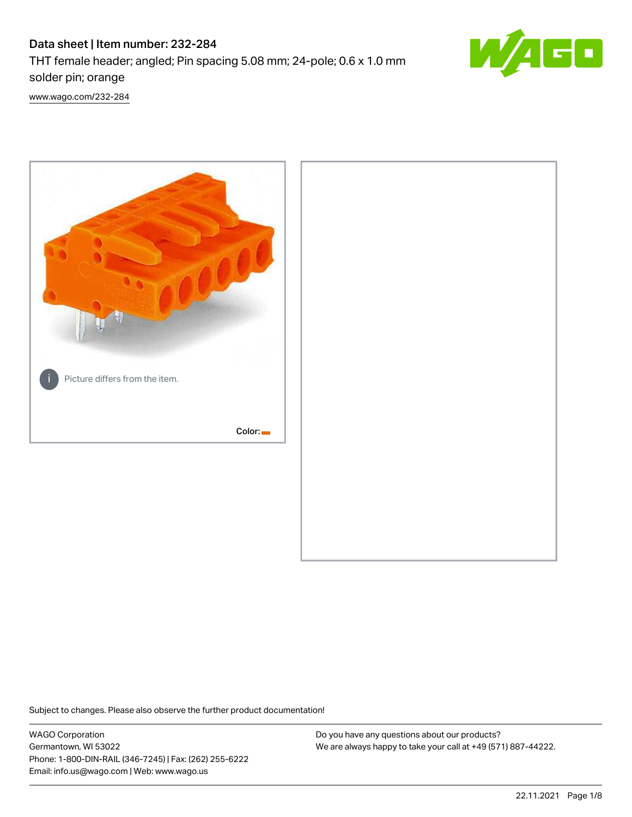# Data sheet | Item number: 232-284

THT female header; angled; Pin spacing 5.08 mm; 24-pole; 0.6 x 1.0 mm solder pin; orange



[www.wago.com/232-284](http://www.wago.com/232-284)



Subject to changes. Please also observe the further product documentation!

WAGO Corporation Germantown, WI 53022 Phone: 1-800-DIN-RAIL (346-7245) | Fax: (262) 255-6222 Email: info.us@wago.com | Web: www.wago.us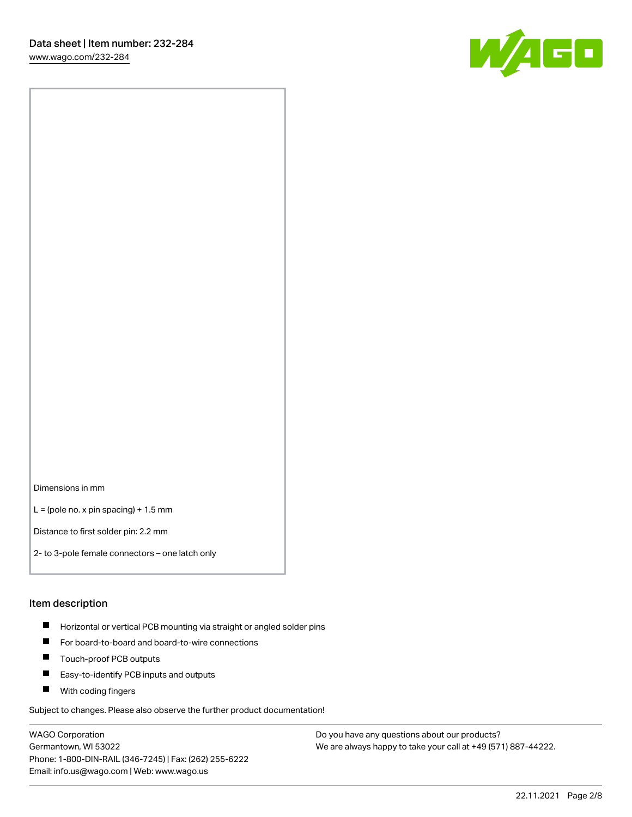W/160

Dimensions in mm

 $L =$  (pole no. x pin spacing) + 1.5 mm

Distance to first solder pin: 2.2 mm

2- to 3-pole female connectors – one latch only

#### Item description

- **Horizontal or vertical PCB mounting via straight or angled solder pins**
- For board-to-board and board-to-wire connections
- $\blacksquare$ Touch-proof PCB outputs
- $\blacksquare$ Easy-to-identify PCB inputs and outputs
- **Now With coding fingers**

Subject to changes. Please also observe the further product documentation!

WAGO Corporation Germantown, WI 53022 Phone: 1-800-DIN-RAIL (346-7245) | Fax: (262) 255-6222 Email: info.us@wago.com | Web: www.wago.us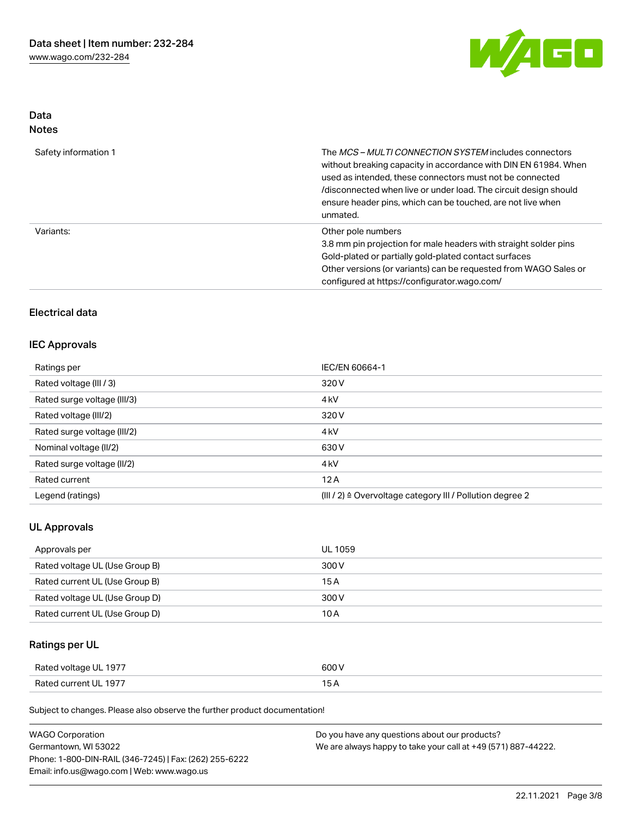

# Data Notes

| Safety information 1 | The MCS-MULTI CONNECTION SYSTEM includes connectors<br>without breaking capacity in accordance with DIN EN 61984. When<br>used as intended, these connectors must not be connected<br>/disconnected when live or under load. The circuit design should<br>ensure header pins, which can be touched, are not live when<br>unmated. |
|----------------------|-----------------------------------------------------------------------------------------------------------------------------------------------------------------------------------------------------------------------------------------------------------------------------------------------------------------------------------|
| Variants:            | Other pole numbers<br>3.8 mm pin projection for male headers with straight solder pins<br>Gold-plated or partially gold-plated contact surfaces<br>Other versions (or variants) can be requested from WAGO Sales or<br>configured at https://configurator.wago.com/                                                               |

# Electrical data

### IEC Approvals

| Ratings per                 | IEC/EN 60664-1                                                       |
|-----------------------------|----------------------------------------------------------------------|
| Rated voltage (III / 3)     | 320 V                                                                |
| Rated surge voltage (III/3) | 4 <sub>k</sub> V                                                     |
| Rated voltage (III/2)       | 320 V                                                                |
| Rated surge voltage (III/2) | 4 <sub>k</sub> V                                                     |
| Nominal voltage (II/2)      | 630 V                                                                |
| Rated surge voltage (II/2)  | 4 <sub>k</sub> V                                                     |
| Rated current               | 12A                                                                  |
| Legend (ratings)            | (III / 2) $\triangleq$ Overvoltage category III / Pollution degree 2 |

## UL Approvals

| Approvals per                  | UL 1059 |
|--------------------------------|---------|
| Rated voltage UL (Use Group B) | 300 V   |
| Rated current UL (Use Group B) | 15 A    |
| Rated voltage UL (Use Group D) | 300 V   |
| Rated current UL (Use Group D) | 10 A    |

# Ratings per UL

| Rated voltage UL 1977 | 600 V |
|-----------------------|-------|
| Rated current UL 1977 |       |

Subject to changes. Please also observe the further product documentation!

| <b>WAGO Corporation</b>                                | Do you have any questions about our products?                 |
|--------------------------------------------------------|---------------------------------------------------------------|
| Germantown, WI 53022                                   | We are always happy to take your call at +49 (571) 887-44222. |
| Phone: 1-800-DIN-RAIL (346-7245)   Fax: (262) 255-6222 |                                                               |
| Email: info.us@wago.com   Web: www.wago.us             |                                                               |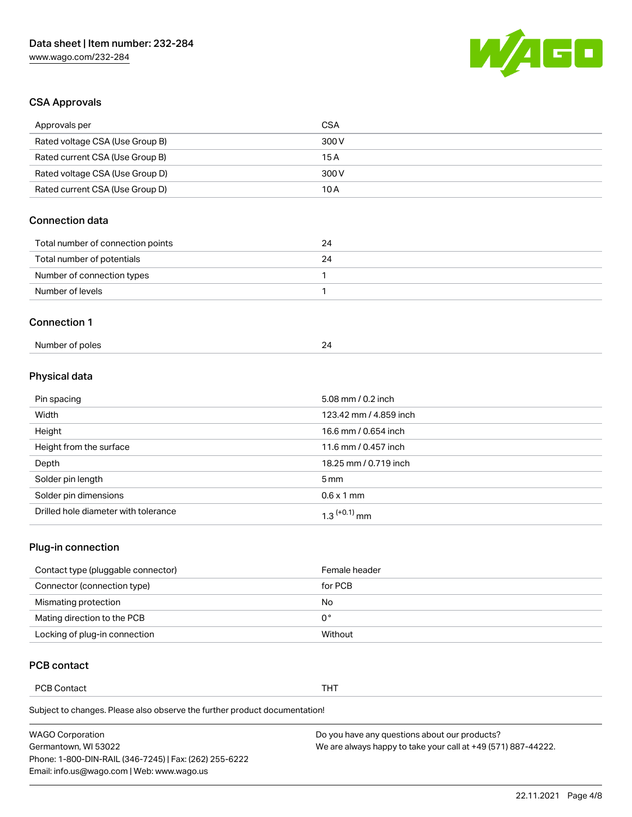

# CSA Approvals

| Approvals per                     | <b>CSA</b> |
|-----------------------------------|------------|
| Rated voltage CSA (Use Group B)   | 300 V      |
| Rated current CSA (Use Group B)   | 15 A       |
| Rated voltage CSA (Use Group D)   | 300 V      |
| Rated current CSA (Use Group D)   | 10A        |
| <b>Connection data</b>            |            |
|                                   |            |
| Total number of connection points | 24         |
| Total number of potentials        | 24         |
| Number of connection types        | 1          |
| Number of levels                  | 1          |

### Physical data

| Pin spacing                          | 5.08 mm / 0.2 inch     |
|--------------------------------------|------------------------|
| Width                                | 123.42 mm / 4.859 inch |
| Height                               | 16.6 mm / 0.654 inch   |
| Height from the surface              | 11.6 mm / 0.457 inch   |
| Depth                                | 18.25 mm / 0.719 inch  |
| Solder pin length                    | $5 \,\mathrm{mm}$      |
| Solder pin dimensions                | $0.6 \times 1$ mm      |
| Drilled hole diameter with tolerance | $1.3$ $(+0.1)$ mm      |

### Plug-in connection

| Contact type (pluggable connector) | Female header |
|------------------------------------|---------------|
| Connector (connection type)        | for PCB       |
| Mismating protection               | No            |
| Mating direction to the PCB        | 0°            |
| Locking of plug-in connection      | Without       |

# PCB contact

PCB Contact **THT** 

Subject to changes. Please also observe the further product documentation!

Number of poles 24

| <b>WAGO Corporation</b>                                | Do you have any questions about our products?                 |
|--------------------------------------------------------|---------------------------------------------------------------|
| Germantown, WI 53022                                   | We are always happy to take your call at +49 (571) 887-44222. |
| Phone: 1-800-DIN-RAIL (346-7245)   Fax: (262) 255-6222 |                                                               |
| Email: info.us@wago.com   Web: www.wago.us             |                                                               |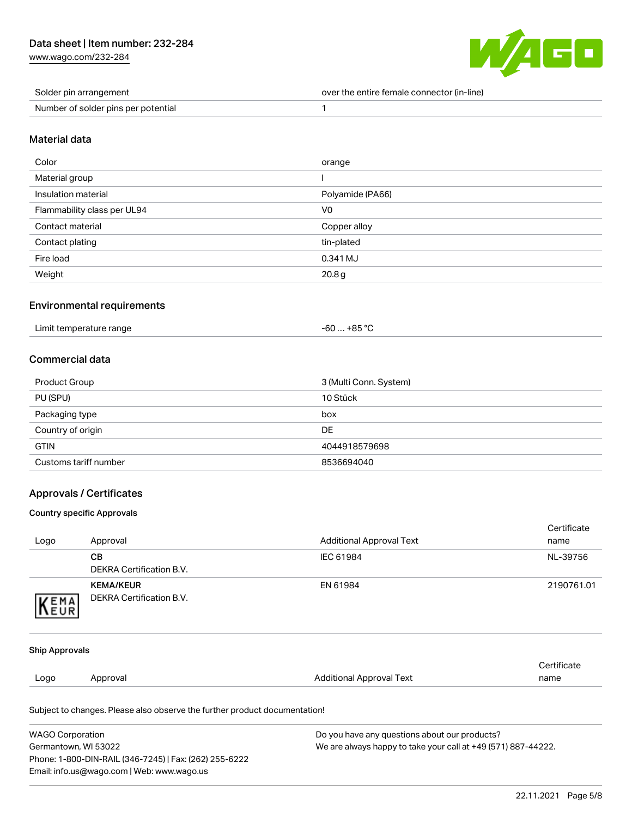[www.wago.com/232-284](http://www.wago.com/232-284)



| Solder pin arrangement              | over the entire female connector (in-line) |
|-------------------------------------|--------------------------------------------|
| Number of solder pins per potential |                                            |

#### Material data

| Color                       | orange            |
|-----------------------------|-------------------|
| Material group              |                   |
| Insulation material         | Polyamide (PA66)  |
| Flammability class per UL94 | V <sub>0</sub>    |
| Contact material            | Copper alloy      |
| Contact plating             | tin-plated        |
| Fire load                   | 0.341 MJ          |
| Weight                      | 20.8 <sub>g</sub> |

### Environmental requirements

| Limit temperature range | -60  +85 °C |
|-------------------------|-------------|
|                         |             |

# Commercial data

| Product Group         | 3 (Multi Conn. System) |
|-----------------------|------------------------|
| PU (SPU)              | 10 Stück               |
| Packaging type        | box                    |
| Country of origin     | DE                     |
| <b>GTIN</b>           | 4044918579698          |
| Customs tariff number | 8536694040             |

## Approvals / Certificates

#### Country specific Approvals

|                       | Subject to changes. Please also observe the further product documentation! |                                 |                     |
|-----------------------|----------------------------------------------------------------------------|---------------------------------|---------------------|
|                       |                                                                            |                                 |                     |
| Logo                  | Approval                                                                   | <b>Additional Approval Text</b> | Certificate<br>name |
| <b>Ship Approvals</b> |                                                                            |                                 |                     |
| KEMA                  | <b>DEKRA Certification B.V.</b>                                            |                                 |                     |
|                       | <b>KEMA/KEUR</b>                                                           | EN 61984                        | 2190761.01          |
|                       | <b>DEKRA Certification B.V.</b>                                            |                                 |                     |
|                       | <b>CB</b>                                                                  | IEC 61984                       | NL-39756            |
| Logo                  | Approval                                                                   | <b>Additional Approval Text</b> | Certificate<br>name |

Germantown, WI 53022 Phone: 1-800-DIN-RAIL (346-7245) | Fax: (262) 255-6222 Email: info.us@wago.com | Web: www.wago.us

We are always happy to take your call at +49 (571) 887-44222.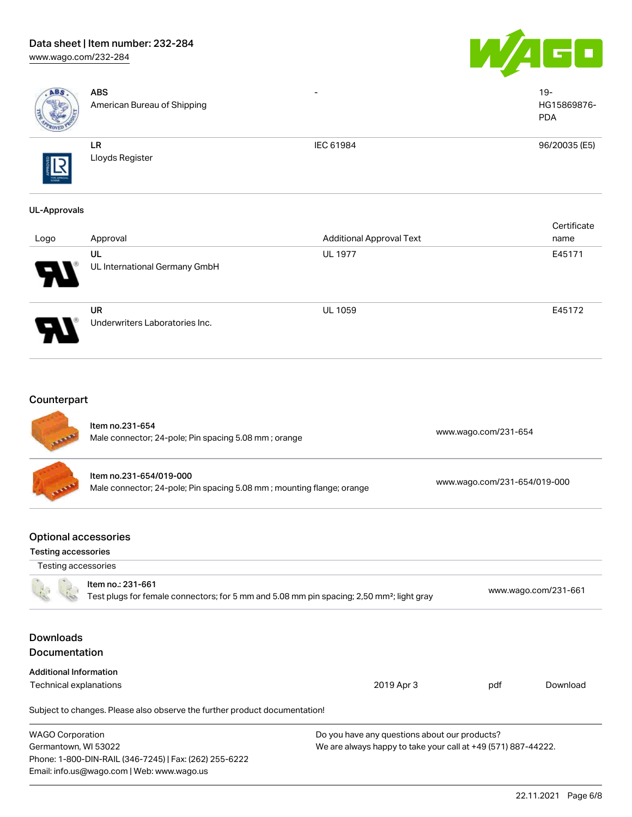# Data sheet | Item number: 232-284 [www.wago.com/232-284](http://www.wago.com/232-284)





| ABS                                                                       | <b>ABS</b><br>American Bureau of Shipping                                                                                  |                                                                                                                |                              | $19 -$<br>HG15869876-<br><b>PDA</b> |
|---------------------------------------------------------------------------|----------------------------------------------------------------------------------------------------------------------------|----------------------------------------------------------------------------------------------------------------|------------------------------|-------------------------------------|
|                                                                           | LR<br>Lloyds Register                                                                                                      | IEC 61984                                                                                                      |                              | 96/20035 (E5)                       |
| <b>UL-Approvals</b>                                                       |                                                                                                                            |                                                                                                                |                              |                                     |
| Logo                                                                      | Approval                                                                                                                   | <b>Additional Approval Text</b>                                                                                |                              | Certificate<br>name                 |
|                                                                           | UL<br>UL International Germany GmbH                                                                                        | <b>UL 1977</b>                                                                                                 |                              | E45171                              |
|                                                                           | <b>UR</b><br>Underwriters Laboratories Inc.                                                                                | <b>UL 1059</b>                                                                                                 |                              | E45172                              |
| Counterpart                                                               | Item no.231-654<br>Male connector; 24-pole; Pin spacing 5.08 mm; orange                                                    |                                                                                                                | www.wago.com/231-654         |                                     |
|                                                                           | Item no.231-654/019-000<br>Male connector; 24-pole; Pin spacing 5.08 mm; mounting flange; orange                           |                                                                                                                | www.wago.com/231-654/019-000 |                                     |
| <b>Optional accessories</b><br>Testing accessories<br>Testing accessories |                                                                                                                            |                                                                                                                |                              |                                     |
|                                                                           | Item no.: 231-661<br>Test plugs for female connectors; for 5 mm and 5.08 mm pin spacing; 2,50 mm <sup>2</sup> ; light gray |                                                                                                                |                              | www.wago.com/231-661                |
| <b>Downloads</b><br>Documentation                                         |                                                                                                                            |                                                                                                                |                              |                                     |
| <b>Additional Information</b>                                             |                                                                                                                            |                                                                                                                |                              |                                     |
| Technical explanations                                                    |                                                                                                                            | 2019 Apr 3                                                                                                     | pdf                          | Download                            |
|                                                                           | Subject to changes. Please also observe the further product documentation!                                                 |                                                                                                                |                              |                                     |
| <b>WAGO Corporation</b><br>Germantown, WI 53022                           | Phone: 1-800-DIN-RAIL (346-7245)   Fax: (262) 255-6222<br>Email: info.us@wago.com   Web: www.wago.us                       | Do you have any questions about our products?<br>We are always happy to take your call at +49 (571) 887-44222. |                              |                                     |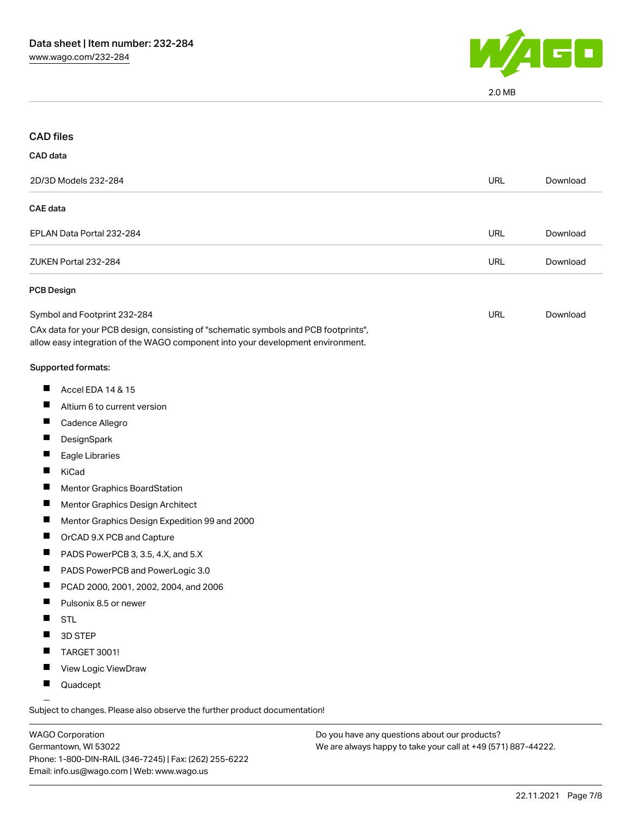

2.0 MB

| <b>CAD files</b>                                                                                                                                                       |            |          |
|------------------------------------------------------------------------------------------------------------------------------------------------------------------------|------------|----------|
| CAD data                                                                                                                                                               |            |          |
| 2D/3D Models 232-284                                                                                                                                                   | <b>URL</b> | Download |
| <b>CAE</b> data                                                                                                                                                        |            |          |
| EPLAN Data Portal 232-284                                                                                                                                              | <b>URL</b> | Download |
| ZUKEN Portal 232-284                                                                                                                                                   | <b>URL</b> | Download |
| PCB Design                                                                                                                                                             |            |          |
| Symbol and Footprint 232-284                                                                                                                                           | URL        | Download |
| CAx data for your PCB design, consisting of "schematic symbols and PCB footprints",<br>allow easy integration of the WAGO component into your development environment. |            |          |
| Supported formats:                                                                                                                                                     |            |          |
| Ш<br>Accel EDA 14 & 15                                                                                                                                                 |            |          |
| Altium 6 to current version                                                                                                                                            |            |          |
| ш<br>Cadence Allegro                                                                                                                                                   |            |          |
| DesignSpark<br>ш                                                                                                                                                       |            |          |
| Eagle Libraries                                                                                                                                                        |            |          |
| ш<br>KiCad                                                                                                                                                             |            |          |
| Mentor Graphics BoardStation<br>ш                                                                                                                                      |            |          |
| Mentor Graphics Design Architect                                                                                                                                       |            |          |
| ш<br>Mentor Graphics Design Expedition 99 and 2000                                                                                                                     |            |          |
| Ш<br>OrCAD 9.X PCB and Capture                                                                                                                                         |            |          |
| PADS PowerPCB 3, 3.5, 4.X, and 5.X                                                                                                                                     |            |          |
| PADS PowerPCB and PowerLogic 3.0                                                                                                                                       |            |          |
| PCAD 2000, 2001, 2002, 2004, and 2006                                                                                                                                  |            |          |
| Pulsonix 8.5 or newer                                                                                                                                                  |            |          |
| <b>STL</b>                                                                                                                                                             |            |          |
| 3D STEP                                                                                                                                                                |            |          |
| TARGET 3001!                                                                                                                                                           |            |          |
| View Logic ViewDraw                                                                                                                                                    |            |          |
| Quadcept                                                                                                                                                               |            |          |
|                                                                                                                                                                        |            |          |

.<br>Subject to changes. Please also observe the further product documentation!

WAGO Corporation Germantown, WI 53022 Phone: 1-800-DIN-RAIL (346-7245) | Fax: (262) 255-6222 Email: info.us@wago.com | Web: www.wago.us